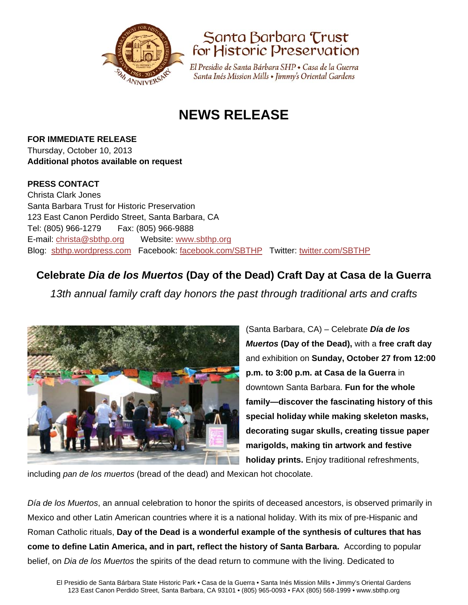



El Presidio de Santa Bárbara SHP • Casa de la Guerra Santa Inés Mission Mills • Jimmy's Oriental Gardens

# **NEWS RELEASE**

**FOR IMMEDIATE RELEASE** Thursday, October 10, 2013 **Additional photos available on request** 

### **PRESS CONTACT**

Christa Clark Jones Santa Barbara Trust for Historic Preservation 123 East Canon Perdido Street, Santa Barbara, CA Tel: (805) 966-1279 Fax: (805) 966-9888 E-mail: christa@sbthp.org Website: www.sbthp.org Blog: sbthp.wordpress.com Facebook: facebook.com/SBTHP Twitter: twitter.com/SBTHP

# **Celebrate** *Dia de los Muertos* **(Day of the Dead) Craft Day at Casa de la Guerra**

*13th annual family craft day honors the past through traditional arts and crafts* 



(Santa Barbara, CA) – Celebrate *Día de los Muertos* **(Day of the Dead),** with a **free craft day**  and exhibition on **Sunday, October 27 from 12:00 p.m. to 3:00 p.m. at Casa de la Guerra** in downtown Santa Barbara. **Fun for the whole family—discover the fascinating history of this special holiday while making skeleton masks, decorating sugar skulls, creating tissue paper marigolds, making tin artwork and festive holiday prints.** Enjoy traditional refreshments,

including *pan de los muertos* (bread of the dead) and Mexican hot chocolate.

*Día de los Muertos*, an annual celebration to honor the spirits of deceased ancestors, is observed primarily in Mexico and other Latin American countries where it is a national holiday. With its mix of pre-Hispanic and Roman Catholic rituals, **Day of the Dead is a wonderful example of the synthesis of cultures that has come to define Latin America, and in part, reflect the history of Santa Barbara.** According to popular belief, on *Dia de los Muertos* the spirits of the dead return to commune with the living. Dedicated to